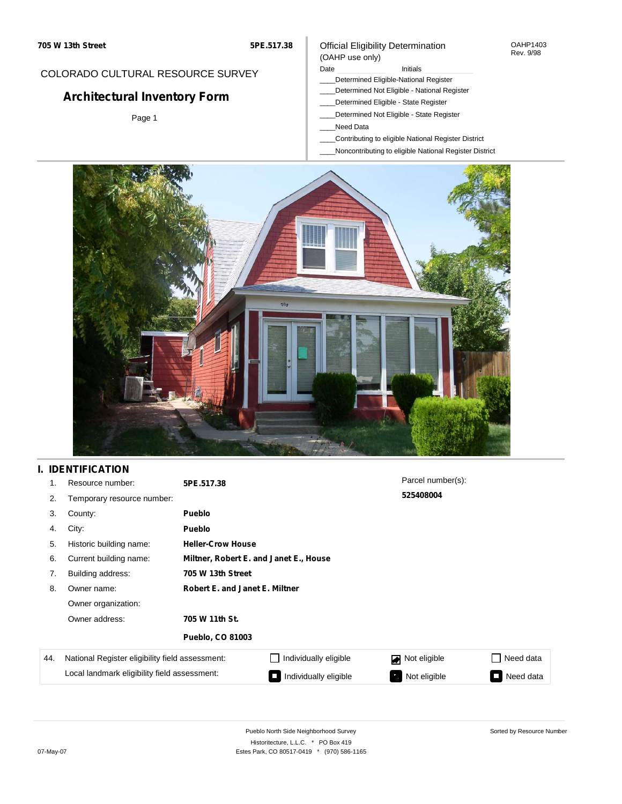#### OAHP1403 Rev. 9/98

### COLORADO CULTURAL RESOURCE SURVEY

# **Architectural Inventory Form**

Page 1

#### (OAHP use only) Date **Initials** Initials

Official Eligibility Determination

- \_\_\_\_Determined Eligible-National Register
- \_\_\_\_Determined Not Eligible National Register
- \_\_\_\_Determined Eligible State Register
- \_\_\_\_Determined Not Eligible State Register
- \_\_\_\_Need Data
- \_\_\_\_Contributing to eligible National Register District
- \_\_\_\_Noncontributing to eligible National Register District



## **I. IDENTIFICATION**

| 1.  | Resource number:                                | 5PE.517.38                            |                                        | Parcel number(s): |           |  |  |  |
|-----|-------------------------------------------------|---------------------------------------|----------------------------------------|-------------------|-----------|--|--|--|
| 2.  | Temporary resource number:                      |                                       |                                        | 525408004         |           |  |  |  |
| 3.  | County:                                         | <b>Pueblo</b>                         |                                        |                   |           |  |  |  |
| 4.  | City:                                           | <b>Pueblo</b>                         |                                        |                   |           |  |  |  |
| 5.  | Historic building name:                         | <b>Heller-Crow House</b>              |                                        |                   |           |  |  |  |
| 6.  | Current building name:                          |                                       | Miltner, Robert E. and Janet E., House |                   |           |  |  |  |
| 7.  | Building address:                               | 705 W 13th Street                     |                                        |                   |           |  |  |  |
| 8.  | Owner name:                                     | <b>Robert E. and Janet E. Miltner</b> |                                        |                   |           |  |  |  |
|     | Owner organization:                             |                                       |                                        |                   |           |  |  |  |
|     | Owner address:                                  | 705 W 11th St.                        |                                        |                   |           |  |  |  |
|     |                                                 | <b>Pueblo, CO 81003</b>               |                                        |                   |           |  |  |  |
| 44. | National Register eligibility field assessment: |                                       | Individually eligible                  | Not eligible<br>◪ | Need data |  |  |  |
|     | Local landmark eligibility field assessment:    |                                       | Individually eligible                  | Not eligible<br>ъ | Need data |  |  |  |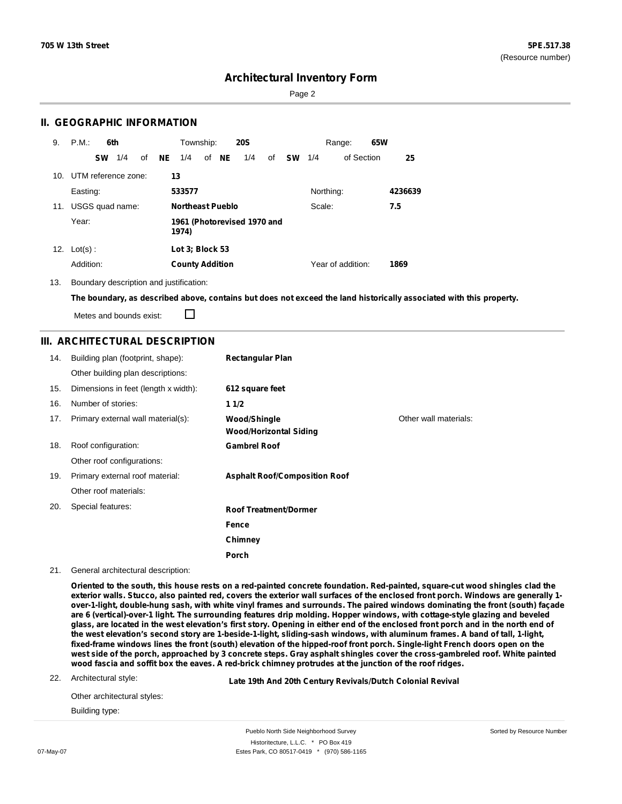Page 2

### **II. GEOGRAPHIC INFORMATION**

| 9.  | P.M.       |           | 6th                 |    |     | Township:               |       | <b>20S</b>                  |    |           |           | Range:            | 65W |         |
|-----|------------|-----------|---------------------|----|-----|-------------------------|-------|-----------------------------|----|-----------|-----------|-------------------|-----|---------|
|     |            | <b>SW</b> | 1/4                 | of | NE. | 1/4                     | of NE | 1/4                         | of | <b>SW</b> | 1/4       | of Section        |     | 25      |
| 10. |            |           | UTM reference zone: |    | 13  |                         |       |                             |    |           |           |                   |     |         |
|     | Easting:   |           |                     |    |     | 533577                  |       |                             |    |           | Northing: |                   |     | 4236639 |
| 11. |            |           | USGS quad name:     |    |     | <b>Northeast Pueblo</b> |       |                             |    |           | Scale:    |                   |     | 7.5     |
|     | Year:      |           |                     |    |     | 1974)                   |       | 1961 (Photorevised 1970 and |    |           |           |                   |     |         |
| 12. | $Lot(s)$ : |           |                     |    |     | Lot 3; Block 53         |       |                             |    |           |           |                   |     |         |
|     | Addition:  |           |                     |    |     | <b>County Addition</b>  |       |                             |    |           |           | Year of addition: |     | 1869    |

13. Boundary description and justification:

The boundary, as described above, contains but does not exceed the land historically associated with this property.

Metes and bounds exist:

 $\Box$ 

### **III. ARCHITECTURAL DESCRIPTION**

| 14. | Building plan (footprint, shape):    | <b>Rectangular Plan</b>                              |                       |
|-----|--------------------------------------|------------------------------------------------------|-----------------------|
|     | Other building plan descriptions:    |                                                      |                       |
| 15. | Dimensions in feet (length x width): | 612 square feet                                      |                       |
| 16. | Number of stories:                   | 11/2                                                 |                       |
| 17. | Primary external wall material(s):   | <b>Wood/Shingle</b><br><b>Wood/Horizontal Siding</b> | Other wall materials: |
| 18. | Roof configuration:                  | <b>Gambrel Roof</b>                                  |                       |
|     | Other roof configurations:           |                                                      |                       |
| 19. | Primary external roof material:      | <b>Asphalt Roof/Composition Roof</b>                 |                       |
|     | Other roof materials:                |                                                      |                       |
| 20. | Special features:                    | <b>Roof Treatment/Dormer</b>                         |                       |
|     |                                      | Fence                                                |                       |
|     |                                      | Chimney                                              |                       |
|     |                                      | <b>Porch</b>                                         |                       |

#### 21. General architectural description:

Oriented to the south, this house rests on a red-painted concrete foundation. Red-painted, square-cut wood shingles clad the exterior walls. Stucco, also painted red, covers the exterior wall surfaces of the enclosed front porch. Windows are generally 1over-1-light, double-hung sash, with white vinyl frames and surrounds. The paired windows dominating the front (south) façade are 6 (vertical)-over-1 light. The surrounding features drip molding. Hopper windows, with cottage-style glazing and beveled glass, are located in the west elevation's first story. Opening in either end of the enclosed front porch and in the north end of the west elevation's second story are 1-beside-1-light, sliding-sash windows, with aluminum frames. A band of tall, 1-light, fixed-frame windows lines the front (south) elevation of the hipped-roof front porch. Single-light French doors open on the west side of the porch, approached by 3 concrete steps. Gray asphalt shingles cover the cross-gambreled roof. White painted wood fascia and soffit box the eaves. A red-brick chimney protrudes at the junction of the roof ridges.

22. Architectural style:

**Late 19th And 20th Century Revivals/Dutch Colonial Revival**

Other architectural styles: Building type: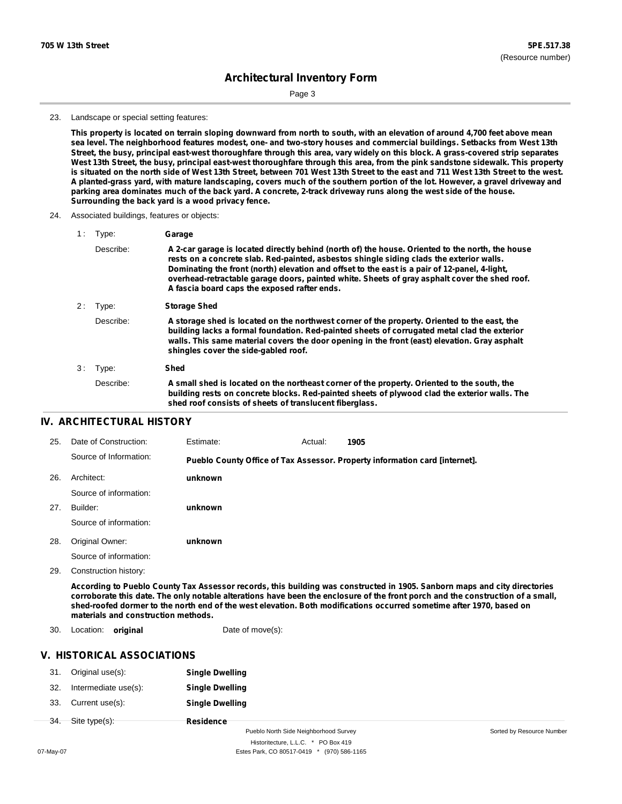Page 3

#### 23. Landscape or special setting features:

This property is located on terrain sloping downward from north to south, with an elevation of around 4,700 feet above mean sea level. The neighborhood features modest, one- and two-story houses and commercial buildings. Setbacks from West 13th Street, the busy, principal east-west thoroughfare through this area, vary widely on this block. A grass-covered strip separates West 13th Street, the busy, principal east-west thoroughfare through this area, from the pink sandstone sidewalk. This property is situated on the north side of West 13th Street, between 701 West 13th Street to the east and 711 West 13th Street to the west. A planted-grass yard, with mature landscaping, covers much of the southern portion of the lot. However, a gravel driveway and parking area dominates much of the back yard. A concrete, 2-track driveway runs along the west side of the house. **Surrounding the back yard is a wood privacy fence.**

24. Associated buildings, features or objects:

| 1: | Type:     | Garage                                                                                                                                                                                                                                                                                                                                                                                                                                         |
|----|-----------|------------------------------------------------------------------------------------------------------------------------------------------------------------------------------------------------------------------------------------------------------------------------------------------------------------------------------------------------------------------------------------------------------------------------------------------------|
|    | Describe: | A 2-car garage is located directly behind (north of) the house. Oriented to the north, the house<br>rests on a concrete slab. Red-painted, asbestos shingle siding clads the exterior walls.<br>Dominating the front (north) elevation and offset to the east is a pair of 12-panel, 4-light,<br>overhead-retractable garage doors, painted white. Sheets of gray asphalt cover the shed roof.<br>A fascia board caps the exposed rafter ends. |
| 2: | Type:     | <b>Storage Shed</b>                                                                                                                                                                                                                                                                                                                                                                                                                            |
|    | Describe: | A storage shed is located on the northwest corner of the property. Oriented to the east, the<br>building lacks a formal foundation. Red-painted sheets of corrugated metal clad the exterior<br>walls. This same material covers the door opening in the front (east) elevation. Gray asphalt<br>shingles cover the side-gabled roof.                                                                                                          |
| 3: | Type:     | Shed                                                                                                                                                                                                                                                                                                                                                                                                                                           |
|    | Describe: | A small shed is located on the northeast corner of the property. Oriented to the south, the<br>building rests on concrete blocks. Red-painted sheets of plywood clad the exterior walls. The<br>shed roof consists of sheets of translucent fiberglass.                                                                                                                                                                                        |

### **IV. ARCHITECTURAL HISTORY**

| 25. | Date of Construction:  | Estimate: | Actual: | 1905                                                                        |
|-----|------------------------|-----------|---------|-----------------------------------------------------------------------------|
|     | Source of Information: |           |         | Pueblo County Office of Tax Assessor. Property information card [internet]. |
| 26. | Architect:             | unknown   |         |                                                                             |
|     | Source of information: |           |         |                                                                             |
| 27. | Builder:               | unknown   |         |                                                                             |
|     | Source of information: |           |         |                                                                             |
| 28. | Original Owner:        | unknown   |         |                                                                             |
|     | Source of information: |           |         |                                                                             |

29. Construction history:

According to Pueblo County Tax Assessor records, this building was constructed in 1905. Sanborn maps and city directories corroborate this date. The only notable alterations have been the enclosure of the front porch and the construction of a small, shed-roofed dormer to the north end of the west elevation. Both modifications occurred sometime after 1970, based on **materials and construction methods.**

30. Location: **original Date of move(s):** 

### **V. HISTORICAL ASSOCIATIONS**

|                | 31. Original use(s):     | <b>Single Dwelling</b> |
|----------------|--------------------------|------------------------|
| 32.            | Intermediate use(s):     | <b>Single Dwelling</b> |
|                | 33. Current use(s):      | <b>Single Dwelling</b> |
| <del>34.</del> | <del>Site type(s):</del> | Residence              |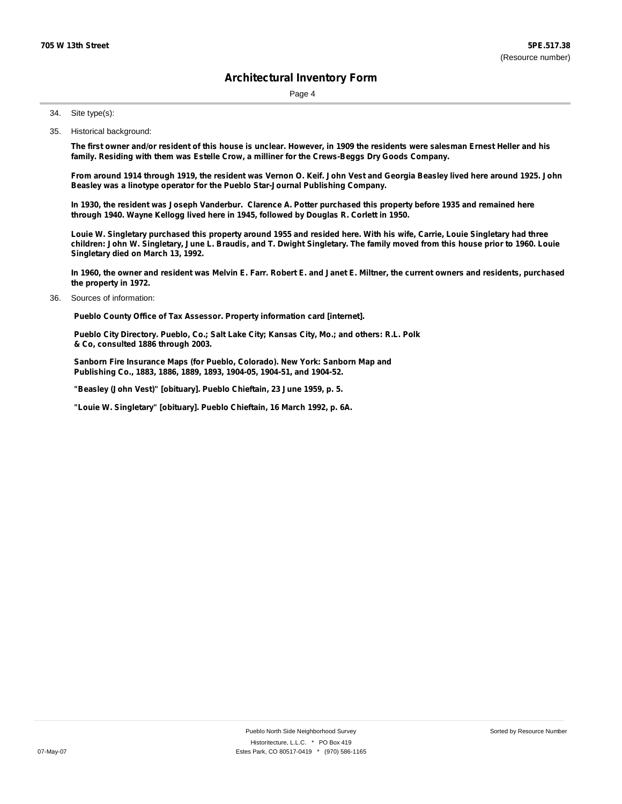Page 4

Site type(s): 34.

35. Historical background:

The first owner and/or resident of this house is unclear. However, in 1909 the residents were salesman Ernest Heller and his **family. Residing with them was Estelle Crow, a milliner for the Crews-Beggs Dry Goods Company.**

From around 1914 through 1919, the resident was Vernon O. Keif. John Vest and Georgia Beasley lived here around 1925. John **Beasley was a linotype operator for the Pueblo Star-Journal Publishing Company.**

In 1930, the resident was Joseph Vanderbur. Clarence A. Potter purchased this property before 1935 and remained here **through 1940. Wayne Kellogg lived here in 1945, followed by Douglas R. Corlett in 1950.**

Louie W. Singletary purchased this property around 1955 and resided here. With his wife, Carrie, Louie Singletary had three children: John W. Singletary, June L. Braudis, and T. Dwight Singletary. The family moved from this house prior to 1960. Louie **Singletary died on March 13, 1992.**

In 1960, the owner and resident was Melvin E. Farr. Robert E. and Janet E. Miltner, the current owners and residents, purchased **the property in 1972.**

Sources of information: 36.

**Pueblo County Office of Tax Assessor. Property information card [internet].**

**Pueblo City Directory. Pueblo, Co.; Salt Lake City; Kansas City, Mo.; and others: R.L. Polk & Co, consulted 1886 through 2003.**

**Sanborn Fire Insurance Maps (for Pueblo, Colorado). New York: Sanborn Map and Publishing Co., 1883, 1886, 1889, 1893, 1904-05, 1904-51, and 1904-52.**

**"Beasley (John Vest)" [obituary]. Pueblo Chieftain, 23 June 1959, p. 5.**

**"Louie W. Singletary" [obituary]. Pueblo Chieftain, 16 March 1992, p. 6A.**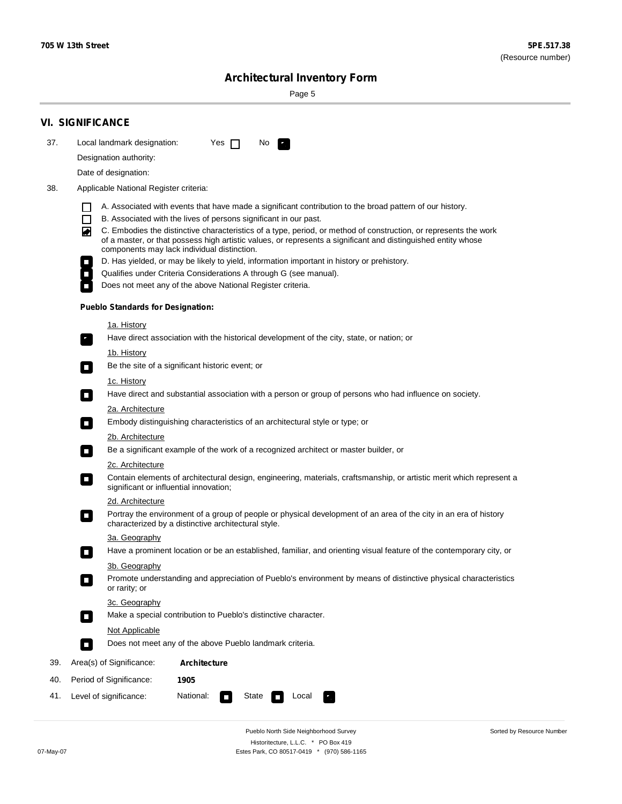Sorted by Resource Number

# **Architectural Inventory Form**

Page 5

|     | <b>VI. SIGNIFICANCE</b>                                                                                                                                                                                                                                                               |
|-----|---------------------------------------------------------------------------------------------------------------------------------------------------------------------------------------------------------------------------------------------------------------------------------------|
| 37. | Local landmark designation:<br>Yes $\Box$<br>No.                                                                                                                                                                                                                                      |
|     | Designation authority:                                                                                                                                                                                                                                                                |
|     | Date of designation:                                                                                                                                                                                                                                                                  |
| 38. | Applicable National Register criteria:                                                                                                                                                                                                                                                |
|     | A. Associated with events that have made a significant contribution to the broad pattern of our history.                                                                                                                                                                              |
|     | B. Associated with the lives of persons significant in our past.                                                                                                                                                                                                                      |
|     | C. Embodies the distinctive characteristics of a type, period, or method of construction, or represents the work<br>◙<br>of a master, or that possess high artistic values, or represents a significant and distinguished entity whose<br>components may lack individual distinction. |
|     | D. Has yielded, or may be likely to yield, information important in history or prehistory.                                                                                                                                                                                            |
|     | Qualifies under Criteria Considerations A through G (see manual).                                                                                                                                                                                                                     |
|     | Does not meet any of the above National Register criteria.                                                                                                                                                                                                                            |
|     | <b>Pueblo Standards for Designation:</b>                                                                                                                                                                                                                                              |
|     | <u>1a. History</u>                                                                                                                                                                                                                                                                    |
|     | Have direct association with the historical development of the city, state, or nation; or<br>$\overline{\phantom{a}}$ .                                                                                                                                                               |
|     | <u>1b. History</u>                                                                                                                                                                                                                                                                    |
|     | Be the site of a significant historic event; or<br>$\Box$                                                                                                                                                                                                                             |
|     | 1c. History<br>Have direct and substantial association with a person or group of persons who had influence on society.<br>$\sim$                                                                                                                                                      |
|     | 2a. Architecture                                                                                                                                                                                                                                                                      |
|     | Embody distinguishing characteristics of an architectural style or type; or<br>$\overline{\phantom{a}}$                                                                                                                                                                               |
|     | 2b. Architecture                                                                                                                                                                                                                                                                      |
|     | Be a significant example of the work of a recognized architect or master builder, or<br>$\overline{\phantom{a}}$                                                                                                                                                                      |
|     | 2c. Architecture                                                                                                                                                                                                                                                                      |
|     | Contain elements of architectural design, engineering, materials, craftsmanship, or artistic merit which represent a<br>$\mathcal{L}_{\mathcal{A}}$<br>significant or influential innovation;                                                                                         |
|     | 2d. Architecture                                                                                                                                                                                                                                                                      |
|     | Portray the environment of a group of people or physical development of an area of the city in an era of history<br>$\mathcal{L}_{\mathcal{A}}$<br>characterized by a distinctive architectural style.                                                                                |
|     | 3a. Geography                                                                                                                                                                                                                                                                         |
|     | Have a prominent location or be an established, familiar, and orienting visual feature of the contemporary city, or<br>П                                                                                                                                                              |
|     | 3b. Geography                                                                                                                                                                                                                                                                         |
|     | Promote understanding and appreciation of Pueblo's environment by means of distinctive physical characteristics<br>or rarity; or                                                                                                                                                      |
|     | 3c. Geography                                                                                                                                                                                                                                                                         |
|     | Make a special contribution to Pueblo's distinctive character.<br>О                                                                                                                                                                                                                   |
|     | Not Applicable                                                                                                                                                                                                                                                                        |
|     | Does not meet any of the above Pueblo landmark criteria.<br>$\overline{\phantom{a}}$                                                                                                                                                                                                  |
| 39. | Area(s) of Significance:<br>Architecture                                                                                                                                                                                                                                              |
| 40. | Period of Significance:<br>1905                                                                                                                                                                                                                                                       |
| 41. | National:<br>Level of significance:<br>State<br>Local                                                                                                                                                                                                                                 |

Pueblo North Side Neighborhood Survey Historitecture, L.L.C. \* PO Box 419 07-May-07 Estes Park, CO 80517-0419 \* (970) 586-1165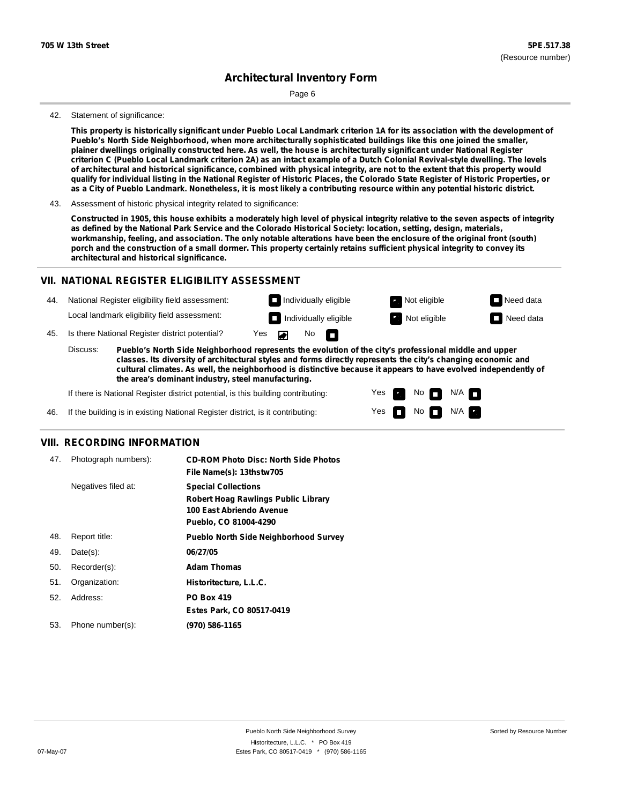Page 6

#### 42. Statement of significance:

This property is historically significant under Pueblo Local Landmark criterion 1A for its association with the development of **Pueblo's North Side Neighborhood, when more architecturally sophisticated buildings like this one joined the smaller,** plainer dwellings originally constructed here. As well, the house is architecturally significant under National Register criterion C (Pueblo Local Landmark criterion 2A) as an intact example of a Dutch Colonial Revival-style dwelling. The levels of architectural and historical significance, combined with physical integrity, are not to the extent that this property would qualify for individual listing in the National Register of Historic Places, the Colorado State Register of Historic Properties, or as a City of Pueblo Landmark. Nonetheless, it is most likely a contributing resource within any potential historic district.

Constructed in 1905, this house exhibits a moderately high level of physical integrity relative to the seven aspects of integrity as defined by the National Park Service and the Colorado Historical Society: location, setting, design, materials, workmanship, feeling, and association. The only notable alterations have been the enclosure of the original front (south) porch and the construction of a small dormer. This property certainly retains sufficient physical integrity to convey its **architectural and historical significance.**

#### **VII. NATIONAL REGISTER ELIGIBILITY ASSESSMENT**

44. National Register eligibility field assessment: Local landmark eligibility field assessment:

**Individually eligible Not eligible** Not eligible **Need data Individually eligible Not eligible Not eligible Need data** 

No<sub>D</sub>

45. Is there National Register district potential? Yes

**Pueblo's North Side Neighborhood represents the evolution of the city's professional middle and upper classes. Its diversity of architectural styles and forms directly represents the city's changing economic and cultural climates. As well, the neighborhood is distinctive because it appears to have evolved independently of the area's dominant industry, steel manufacturing.** Discuss:

 $\blacksquare$ 

Yes Yes No

 $No$  N/A

 $N/A$   $\Box$ 

If there is National Register district potential, is this building contributing:



#### **VIII. RECORDING INFORMATION**

| 47. | Photograph numbers): | <b>CD-ROM Photo Disc: North Side Photos</b><br>File Name(s): 13thstw705                                                       |
|-----|----------------------|-------------------------------------------------------------------------------------------------------------------------------|
|     | Negatives filed at:  | <b>Special Collections</b><br><b>Robert Hoag Rawlings Public Library</b><br>100 East Abriendo Avenue<br>Pueblo, CO 81004-4290 |
| 48. | Report title:        | <b>Pueblo North Side Neighborhood Survey</b>                                                                                  |
| 49. | Date(s):             | 06/27/05                                                                                                                      |
| 50. | Recorder(s):         | <b>Adam Thomas</b>                                                                                                            |
| 51. | Organization:        | Historitecture, L.L.C.                                                                                                        |
| 52. | Address:             | <b>PO Box 419</b>                                                                                                             |
|     |                      | Estes Park, CO 80517-0419                                                                                                     |
| 53. | Phone number(s):     | (970) 586-1165                                                                                                                |

<sup>43.</sup> Assessment of historic physical integrity related to significance: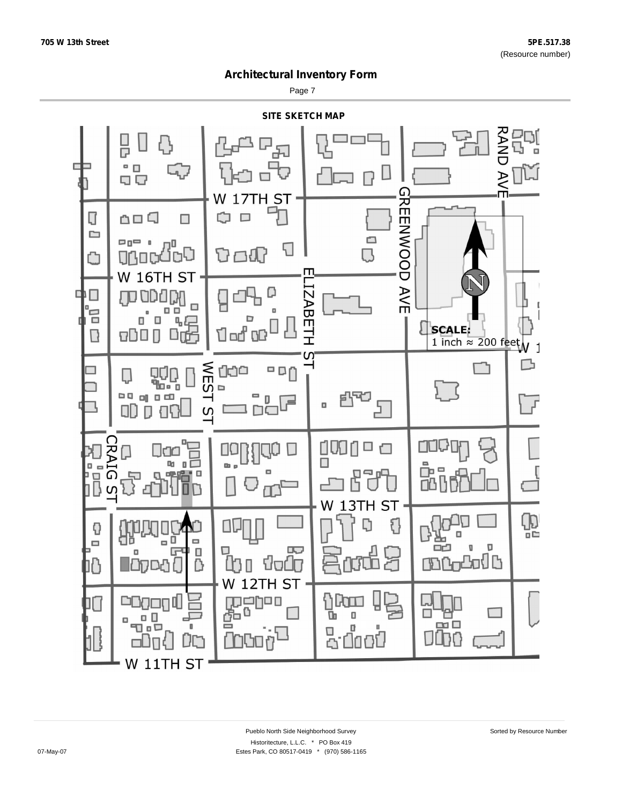Page 7